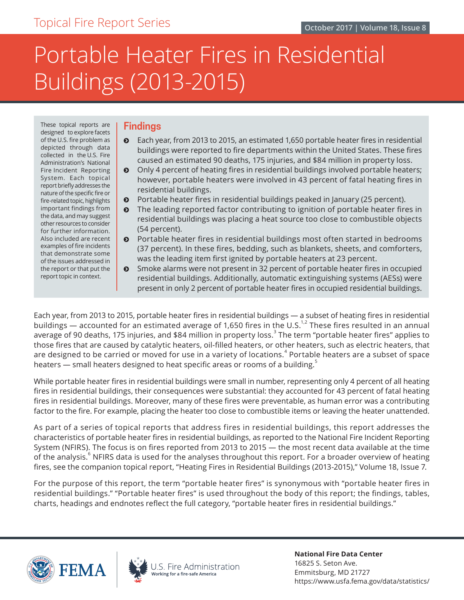# Portable Heater Fires in Residential Buildings (2013-2015)

These topical reports are **Findings** designed to explore facets for further information.

- of the U.S. fire problem as  $\bullet$  Each year, from 2013 to 2015, an estimated 1,650 portable heater fires in residential depicted through data depicted through data buildings were reported to fire departments within the United States. These fires collected in the U.S. Fire Administration's National caused an estimated 90 deaths, 175 injuries, and \$84 million in property loss.
- Fire Incident Reporting  $\bigcirc$  Only 4 percent of heating fires in residential buildings involved portable heaters; System. Each topical however, portable heaters were involved in 43 percent of fatal heating fires in report briefly addresses the residential buildings.
- fire-related topic, highlights  $\bullet$  Portable heater fires in residential buildings peaked in January (25 percent).
- important findings from **o** The leading reported factor contributing to ignition of portable heater fires in the data, and may suggest residential buildings was placing a heat source too close to combustible objects for fu
- Also included are recent  $\bullet$  Portable heater fires in residential buildings most often started in bedrooms examples of fire incidents (27 porcent). In those fires, bodding, such as blankets, shoots, and comforters examples of fire incidents (37 percent). In these fires, bedding, such as blankets, sheets, and comforters, that demonstrate some of the issues addressed in was the leading item first ignited by portable heaters at 23 percent.
- the report or that put the  $\Box$  Smoke alarms were not present in 32 percent of portable heater fires in occupied report topic in context.  $\parallel$  residential buildings. Additionally, automatic extinguishing systems (AESs) were present in only 2 percent of portable heater fires in occupied residential buildings.

Each year, from 2013 to 2015, portable heater fires in residential buildings — a subset of heating fires in residential buildings — accounted for an estimated average of 1,650 fires in the U.S.<sup>1,2</sup> These fires resulted in an annual average of 90 deaths, 175 injuries, and \$84 million in property loss. $^3$  The term "portable heater fires" applies to those fires that are caused by catalytic heaters, oil-filled heaters, or other heaters, such as electric heaters, that are designed to be carried or moved for use in a variety of locations. $^{\text{4}}$  Portable heaters are a subset of space heaters — small heaters designed to heat specific areas or rooms of a building. $^3$ 

While portable heater fires in residential buildings were small in number, representing only 4 percent of all heating fires in residential buildings, their consequences were substantial: they accounted for 43 percent of fatal heating fires in residential buildings. Moreover, many of these fires were preventable, as human error was a contributing factor to the fire. For example, placing the heater too close to combustible items or leaving the heater unattended.

As part of a series of topical reports that address fires in residential buildings, this report addresses the characteristics of portable heater fires in residential buildings, as reported to the National Fire Incident Reporting System (NFIRS). The focus is on fires reported from 2013 to 2015 — the most recent data available at the time of the analysis. $^6$  NFIRS data is used for the analyses throughout this report. For a broader overview of heating fires, see the companion topical report, "Heating Fires in Residential Buildings (2013-2015)," Volume 18, Issue 7.

For the purpose of this report, the term "portable heater fires" is synonymous with "portable heater fires in residential buildings." "Portable heater fires" is used throughout the body of this report; the findings, tables, charts, headings and endnotes reflect the full category, "portable heater fires in residential buildings."





**National Fire Data Center** 16825 S. Seton Ave. Emmitsburg, MD 21727 https://www.usfa.fema.gov/data/statistics/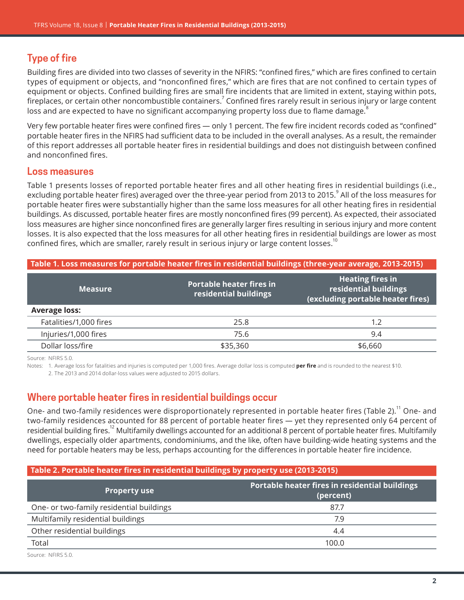# **Type of fire**

Building fires are divided into two classes of severity in the NFIRS: "confined fires," which are fires confined to certain types of equipment or objects, and "nonconfined fires," which are fires that are not confined to certain types of equipment or objects. Confined building fires are small fire incidents that are limited in extent, staying within pots, fireplaces, or certain other noncombustible containers.<sup>7</sup> Confined fires rarely result in serious injury or large content loss and are expected to have no significant accompanying property loss due to flame damage.<sup>8</sup>

Very few portable heater fires were confined fires — only 1 percent. The few fire incident records coded as "confined" portable heater fires in the NFIRS had sufficient data to be included in the overall analyses. As a result, the remainder of this report addresses all portable heater fires in residential buildings and does not distinguish between confined and nonconfined fires.

## **Loss measures**

[Table 1](#page-1-0) presents losses of reported portable heater fires and all other heating fires in residential buildings (i.e., excluding portable heater fires) averaged over the three-year period from 2013 to 2015. $^{\circ}$  All of the loss measures for portable heater fires were substantially higher than the same loss measures for all other heating fires in residential buildings. As discussed, portable heater fires are mostly nonconfined fires (99 percent). As expected, their associated loss measures are higher since nonconfined fires are generally larger fires resulting in serious injury and more content losses. It is also expected that the loss measures for all other heating fires in residential buildings are lower as most confined fires, which are smaller, rarely result in serious injury or large content losses.<sup>10</sup>

#### <span id="page-1-0"></span>**Table 1. Loss measures for portable heater fires in residential buildings (three-year average, 2013-2015)**

| <b>Measure</b>         | <b>Portable heater fires in</b><br>residential buildings | <b>Heating fires in</b><br>residential buildings<br>(excluding portable heater fires) |
|------------------------|----------------------------------------------------------|---------------------------------------------------------------------------------------|
| <b>Average loss:</b>   |                                                          |                                                                                       |
| Fatalities/1,000 fires | 25.8                                                     | 1.2                                                                                   |
| Injuries/1,000 fires   | 75.6                                                     | 9.4                                                                                   |
| Dollar loss/fire       | \$35,360                                                 | \$6,660                                                                               |

Source: NFIRS 5.0.

Notes: 1. Average loss for fatalities and injuries is computed per 1,000 fires. Average dollar loss is computed **per fire** and is rounded to the nearest \$10.

2. The 2013 and 2014 dollar-loss values were adjusted to 2015 dollars.

# **Where portable heater fires in residential buildings occur**

One- and two-family residences were disproportionately represented in portable heater fires (Table 2).<sup>11</sup> One- and two-family residences accounted for 88 percent of portable heater fires — yet they represented only 64 percent of residential building fires.<sup>12</sup> Multifamily dwellings accounted for an additional 8 percent of portable heater fires. Multifamily dwellings, especially older apartments, condominiums, and the like, often have building-wide heating systems and the need for portable heaters may be less, perhaps accounting for the differences in portable heater fire incidence.

## **Table 2. Portable heater fires in residential buildings by property use (2013-2015)**

| <b>Property use</b>                      | Portable heater fires in residential buildings<br>(percent) |
|------------------------------------------|-------------------------------------------------------------|
| One- or two-family residential buildings | 87.7                                                        |
| Multifamily residential buildings        | 7.9                                                         |
| Other residential buildings              | 4.4                                                         |
| Total                                    | 100.0                                                       |

Source: NFIRS 5.0.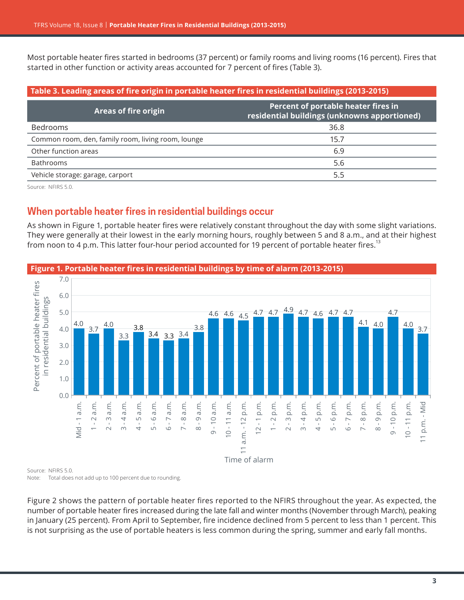Most portable heater fires started in bedrooms (37 percent) or family rooms and living rooms (16 percent). Fires that started in other function or activity areas accounted for 7 percent of fires (Table 3).

#### **Table 3. Leading areas of fire origin in portable heater fires in residential buildings (2013-2015)**

| <b>Areas of fire origin</b>                        | Percent of portable heater fires in<br>residential buildings (unknowns apportioned) |
|----------------------------------------------------|-------------------------------------------------------------------------------------|
| <b>Bedrooms</b>                                    | 36.8                                                                                |
| Common room, den, family room, living room, lounge | 15.7                                                                                |
| Other function areas                               | 6.9                                                                                 |
| <b>Bathrooms</b>                                   | 5.6                                                                                 |
| Vehicle storage: garage, carport                   | 5.5                                                                                 |

Source: NFIRS 5.0.

# **When portable heater fires in residential buildings occur**

As shown in Figure 1, portable heater fires were relatively constant throughout the day with some slight variations. They were generally at their lowest in the early morning hours, roughly between 5 and 8 a.m., and at their highest from noon to 4 p.m. This latter four-hour period accounted for 19 percent of portable heater fires.<sup>13</sup>



**Figure 1. Portable heater fires in residential buildings by time of alarm (2013-2015)**

Source: NFIRS 5.0. Note: Total does not add up to 100 percent due to rounding.

Figure 2 shows the pattern of portable heater fires reported to the NFIRS throughout the year. As expected, the number of portable heater fires increased during the late fall and winter months (November through March), peaking in January (25 percent). From April to September, fire incidence declined from 5 percent to less than 1 percent. This is not surprising as the use of portable heaters is less common during the spring, summer and early fall months.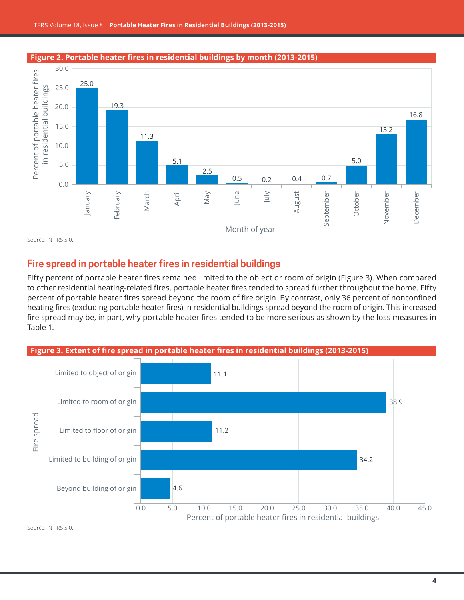#### 30.0 Percent of portable heater fires Percent of portable heater fires 25.0 25.0 in residential buildings in residential buildings 19.3 20.0 16.8 15.0 13.2 11.3 10.0 5.1 5.0 5.0 2.5 0.5 0.2 0.4 0.7 0.0 March June April May July August January February September September October November December November December Month of year

#### **Figure 2. Portable heater fires in residential buildings by month (2013-2015)**

Source: NFIRS 5.0.

# **Fire spread in portable heater fires in residential buildings**

Fifty percent of portable heater fires remained limited to the object or room of origin (Figure 3). When compared to other residential heating-related fires, portable heater fires tended to spread further throughout the home. Fifty percent of portable heater fires spread beyond the room of fire origin. By contrast, only 36 percent of nonconfined heating fires (excluding portable heater fires) in residential buildings spread beyond the room of origin. This increased fire spread may be, in part, why portable heater fires tended to be more serious as shown by the loss measures in [Table](#page-1-0) 1.



Source: NFIRS 5.0.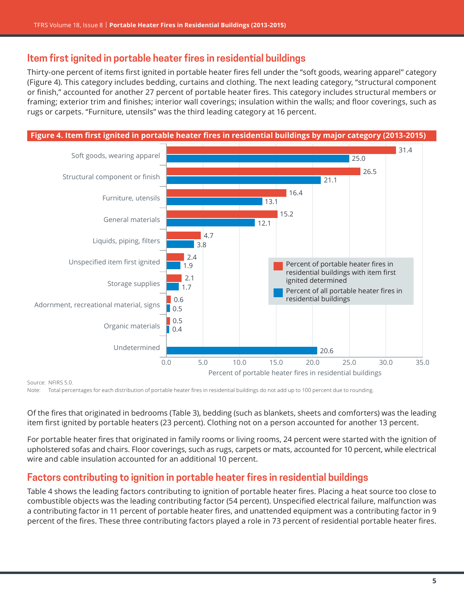# **Item first ignited in portable heater fires in residential buildings**

Thirty-one percent of items first ignited in portable heater fires fell under the "soft goods, wearing apparel" category (Figure 4). This category includes bedding, curtains and clothing. The next leading category, "structural component or finish," accounted for another 27 percent of portable heater fires. This category includes structural members or framing; exterior trim and finishes; interior wall coverings; insulation within the walls; and floor coverings, such as rugs or carpets. "Furniture, utensils" was the third leading category at 16 percent.



#### Source: NFIRS 5.0.

Note: Total percentages for each distribution of portable heater fires in residential buildings do not add up to 100 percent due to rounding.

Of the fires that originated in bedrooms (Table 3), bedding (such as blankets, sheets and comforters) was the leading item first ignited by portable heaters (23 percent). Clothing not on a person accounted for another 13 percent.

For portable heater fires that originated in family rooms or living rooms, 24 percent were started with the ignition of upholstered sofas and chairs. Floor coverings, such as rugs, carpets or mats, accounted for 10 percent, while electrical wire and cable insulation accounted for an additional 10 percent.

# **Factors contributing to ignition in portable heater fires in residential buildings**

Table 4 shows the leading factors contributing to ignition of portable heater fires. Placing a heat source too close to combustible objects was the leading contributing factor (54 percent). Unspecified electrical failure, malfunction was a contributing factor in 11 percent of portable heater fires, and unattended equipment was a contributing factor in 9 percent of the fires. These three contributing factors played a role in 73 percent of residential portable heater fires.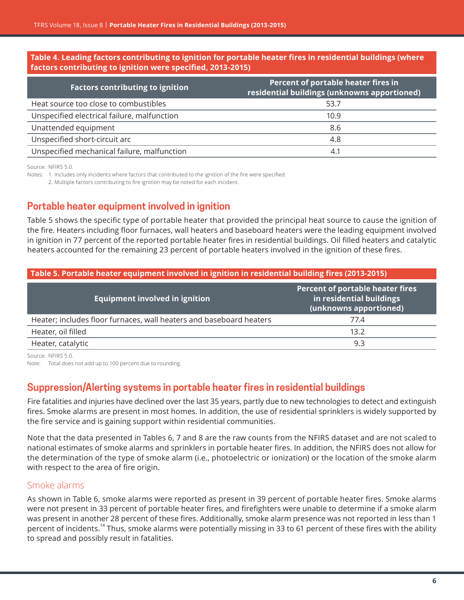#### **Table 4. Leading factors contributing to ignition for portable heater fires in residential buildings (where factors contributing to ignition were specified, 2013-2015)**

| <b>Factors contributing to ignition</b>     | Percent of portable heater fires in<br>residential buildings (unknowns apportioned) |
|---------------------------------------------|-------------------------------------------------------------------------------------|
| Heat source too close to combustibles       | 53.7                                                                                |
| Unspecified electrical failure, malfunction | 10.9                                                                                |
| Unattended equipment                        | 8.6                                                                                 |
| Unspecified short-circuit arc               | 4.8                                                                                 |
| Unspecified mechanical failure, malfunction | 4.1                                                                                 |

Source: NFIRS 5.0.

Notes: 1. Includes only incidents where factors that contributed to the ignition of the fire were specified.

2. Multiple factors contributing to fire ignition may be noted for each incident.

# **Portable heater equipment involved in ignition**

Table 5 shows the specific type of portable heater that provided the principal heat source to cause the ignition of the fire. Heaters including floor furnaces, wall heaters and baseboard heaters were the leading equipment involved in ignition in 77 percent of the reported portable heater fires in residential buildings. Oil filled heaters and catalytic heaters accounted for the remaining 23 percent of portable heaters involved in the ignition of these fires.

#### **Table 5. Portable heater equipment involved in ignition in residential building fires (2013-2015) Equipment involved in ignition Percent of portable heater fires in residential buildings (unknowns apportioned)** Heater; includes floor furnaces, wall heaters and baseboard heaters 77.4 Heater, oil filled 13.2 Heater, catalytic 9.3

Source: NFIRS 5.0

Note: Total does not add up to 100 percent due to rounding.

# **Suppression/Alerting systems in portable heater fires in residential buildings**

Fire fatalities and injuries have declined over the last 35 years, partly due to new technologies to detect and extinguish fires. Smoke alarms are present in most homes. In addition, the use of residential sprinklers is widely supported by the fire service and is gaining support within residential communities.

Note that the data presented in Tables 6, 7 and 8 are the raw counts from the NFIRS dataset and are not scaled to national estimates of smoke alarms and sprinklers in portable heater fires. In addition, the NFIRS does not allow for the determination of the type of smoke alarm (i.e., photoelectric or ionization) or the location of the smoke alarm with respect to the area of fire origin.

#### Smoke alarms

As shown in Table 6, smoke alarms were reported as present in 39 percent of portable heater fires. Smoke alarms were not present in 33 percent of portable heater fires, and firefighters were unable to determine if a smoke alarm was present in another 28 percent of these fires. Additionally, smoke alarm presence was not reported in less than 1 percent of incidents.<sup>14</sup> Thus, smoke alarms were potentially missing in 33 to 61 percent of these fires with the ability to spread and possibly result in fatalities.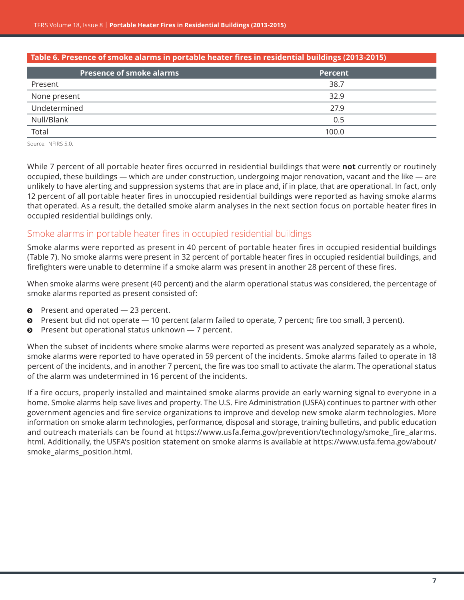| Table 6. Presence of smoke alarms in portable heater fires in residential buildings (2013-2015) |         |  |
|-------------------------------------------------------------------------------------------------|---------|--|
| <b>Presence of smoke alarms</b>                                                                 | Percent |  |
| Present                                                                                         | 38.7    |  |
| None present                                                                                    | 32.9    |  |
| Undetermined                                                                                    | 27.9    |  |
| Null/Blank                                                                                      | 0.5     |  |
| Total                                                                                           | 100.0   |  |
|                                                                                                 |         |  |

Source: NFIRS 5.0.

While 7 percent of all portable heater fires occurred in residential buildings that were **not** currently or routinely occupied, these buildings — which are under construction, undergoing major renovation, vacant and the like — are unlikely to have alerting and suppression systems that are in place and, if in place, that are operational. In fact, only 12 percent of all portable heater fires in unoccupied residential buildings were reported as having smoke alarms that operated. As a result, the detailed smoke alarm analyses in the next section focus on portable heater fires in occupied residential buildings only.

#### Smoke alarms in portable heater fires in occupied residential buildings

Smoke alarms were reported as present in 40 percent of portable heater fires in occupied residential buildings (Table 7). No smoke alarms were present in 32 percent of portable heater fires in occupied residential buildings, and firefighters were unable to determine if a smoke alarm was present in another 28 percent of these fires.

When smoke alarms were present (40 percent) and the alarm operational status was considered, the percentage of smoke alarms reported as present consisted of:

- $\bullet$  Present and operated  $-$  23 percent.
- **•** Present but did not operate 10 percent (alarm failed to operate, 7 percent; fire too small, 3 percent).
- $\bullet$  Present but operational status unknown  $-7$  percent.

When the subset of incidents where smoke alarms were reported as present was analyzed separately as a whole, smoke alarms were reported to have operated in 59 percent of the incidents. Smoke alarms failed to operate in 18 percent of the incidents, and in another 7 percent, the fire was too small to activate the alarm. The operational status of the alarm was undetermined in 16 percent of the incidents.

If a fire occurs, properly installed and maintained smoke alarms provide an early warning signal to everyone in a home. Smoke alarms help save lives and property. The U.S. Fire Administration (USFA) continues to partner with other government agencies and fire service organizations to improve and develop new smoke alarm technologies. More information on smoke alarm technologies, performance, disposal and storage, training bulletins, and public education and outreach materials can be found at [https://www.usfa.fema.gov/prevention/technology/smoke\\_fire\\_alarms.](https://www.usfa.fema.gov/prevention/technology/smoke_fire_alarms.html) [html.](https://www.usfa.fema.gov/prevention/technology/smoke_fire_alarms.html) Additionally, the USFA's position statement on smoke alarms is available at [https://www.usfa.fema.gov/about/](https://www.usfa.fema.gov/about/smoke_alarms_position.html) [smoke\\_alarms\\_position.html](https://www.usfa.fema.gov/about/smoke_alarms_position.html).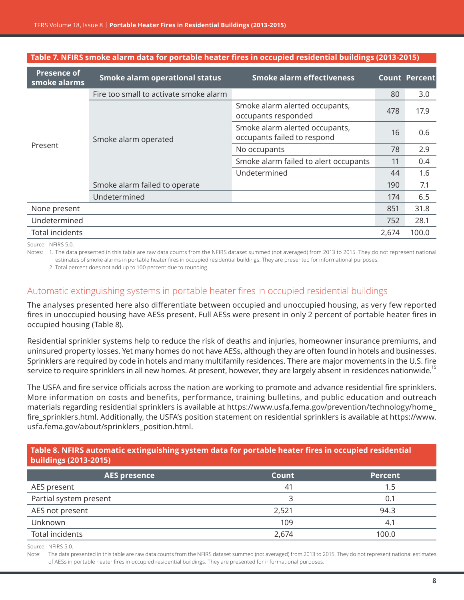| <b>Presence of</b><br>smoke alarms | <b>Smoke alarm operational status</b>  | <b>Smoke alarm effectiveness</b>                              |       | <b>Count Percent</b> |
|------------------------------------|----------------------------------------|---------------------------------------------------------------|-------|----------------------|
|                                    | Fire too small to activate smoke alarm |                                                               | 80    | 3.0                  |
| Present                            | Smoke alarm operated                   | Smoke alarm alerted occupants,<br>occupants responded         | 478   | 17.9                 |
|                                    |                                        | Smoke alarm alerted occupants,<br>occupants failed to respond | 16    | 0.6                  |
|                                    |                                        | No occupants                                                  | 78    | 2.9                  |
|                                    |                                        | Smoke alarm failed to alert occupants                         | 11    | 0.4                  |
|                                    |                                        | Undetermined                                                  | 44    | 1.6                  |
|                                    | Smoke alarm failed to operate          |                                                               | 190   | 7.1                  |
|                                    | Undetermined                           |                                                               | 174   | 6.5                  |
| None present                       |                                        |                                                               | 851   | 31.8                 |
| Undetermined                       |                                        |                                                               | 752   | 28.1                 |
| <b>Total incidents</b>             |                                        |                                                               | 2,674 | 100.0                |

**Table 7. NFIRS smoke alarm data for portable heater fires in occupied residential buildings (2013-2015)**

Source: NFIRS 5.0.

Notes: 1. The data presented in this table are raw data counts from the NFIRS dataset summed (not averaged) from 2013 to 2015. They do not represent national estimates of smoke alarms in portable heater fires in occupied residential buildings. They are presented for informational purposes.

2. Total percent does not add up to 100 percent due to rounding.

## Automatic extinguishing systems in portable heater fires in occupied residential buildings

The analyses presented here also differentiate between occupied and unoccupied housing, as very few reported fires in unoccupied housing have AESs present. Full AESs were present in only 2 percent of portable heater fires in occupied housing (Table 8).

Residential sprinkler systems help to reduce the risk of deaths and injuries, homeowner insurance premiums, and uninsured property losses. Yet many homes do not have AESs, although they are often found in hotels and businesses. Sprinklers are required by code in hotels and many multifamily residences. There are major movements in the U.S. fire service to require sprinklers in all new homes. At present, however, they are largely absent in residences nationwide.<sup>15</sup>

The USFA and fire service officials across the nation are working to promote and advance residential fire sprinklers. More information on costs and benefits, performance, training bulletins, and public education and outreach materials regarding residential sprinklers is available at [https://www.usfa.fema.gov/prevention/technology/home\\_](https://www.usfa.fema.gov/prevention/technology/home_fire_sprinklers.html) [fire\\_sprinklers.html](https://www.usfa.fema.gov/prevention/technology/home_fire_sprinklers.html). Additionally, the USFA's position statement on residential sprinklers is available at [https://www.](https://www.usfa.fema.gov/about/sprinklers_position.html) [usfa.fema.gov/about/sprinklers\\_position.html](https://www.usfa.fema.gov/about/sprinklers_position.html).

#### **Table 8. NFIRS automatic extinguishing system data for portable heater fires in occupied residential buildings (2013-2015)**

| <b>AES presence</b>    | Count | <b>Percent</b> |
|------------------------|-------|----------------|
| AES present            | 41    | 1.5            |
| Partial system present | ੨     | 0.1            |
| AES not present        | 2,521 | 94.3           |
| Unknown                | 109   | 4.1            |
| Total incidents        | 2,674 | 100.0          |

Source: NFIRS 5.0.

Note: The data presented in this table are raw data counts from the NFIRS dataset summed (not averaged) from 2013 to 2015. They do not represent national estimates of AESs in portable heater fires in occupied residential buildings. They are presented for informational purposes.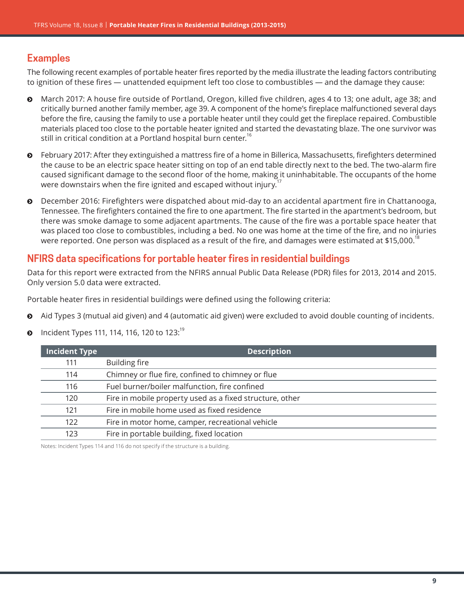# **Examples**

The following recent examples of portable heater fires reported by the media illustrate the leading factors contributing to ignition of these fires — unattended equipment left too close to combustibles — and the damage they cause:

- ĵ March 2017: A house fire outside of Portland, Oregon, killed five children, ages 4 to 13; one adult, age 38; and critically burned another family member, age 39. A component of the home's fireplace malfunctioned several days before the fire, causing the family to use a portable heater until they could get the fireplace repaired. Combustible materials placed too close to the portable heater ignited and started the devastating blaze. The one survivor was still in critical condition at a Portland hospital burn center.<sup>16</sup>
- ĵ February 2017: After they extinguished a mattress fire of a home in Billerica, Massachusetts, firefighters determined the cause to be an electric space heater sitting on top of an end table directly next to the bed. The two-alarm fire caused significant damage to the second floor of the home, making it uninhabitable. The occupants of the home were downstairs when the fire ignited and escaped without injury.<sup>17</sup>
- ĵ December 2016: Firefighters were dispatched about mid-day to an accidental apartment fire in Chattanooga, Tennessee. The firefighters contained the fire to one apartment. The fire started in the apartment's bedroom, but there was smoke damage to some adjacent apartments. The cause of the fire was a portable space heater that was placed too close to combustibles, including a bed. No one was home at the time of the fire, and no injuries were reported. One person was displaced as a result of the fire, and damages were estimated at \$15,000.<sup>18</sup>

# **NFIRS data specifications for portable heater fires in residential buildings**

Data for this report were extracted from the NFIRS annual Public Data Release (PDR) files for 2013, 2014 and 2015. Only version 5.0 data were extracted.

Portable heater fires in residential buildings were defined using the following criteria:

- Aid Types 3 (mutual aid given) and 4 (automatic aid given) were excluded to avoid double counting of incidents.
- **Q** Incident Types 111, 114, 116, 120 to 123:

| <b>Building fire</b><br>111<br>Chimney or flue fire, confined to chimney or flue<br>114<br>Fuel burner/boiler malfunction, fire confined<br>116<br>Fire in mobile property used as a fixed structure, other<br>120<br>Fire in mobile home used as fixed residence<br>121 |
|--------------------------------------------------------------------------------------------------------------------------------------------------------------------------------------------------------------------------------------------------------------------------|
|                                                                                                                                                                                                                                                                          |
|                                                                                                                                                                                                                                                                          |
|                                                                                                                                                                                                                                                                          |
|                                                                                                                                                                                                                                                                          |
|                                                                                                                                                                                                                                                                          |
| Fire in motor home, camper, recreational vehicle<br>122                                                                                                                                                                                                                  |
| Fire in portable building, fixed location<br>123                                                                                                                                                                                                                         |

Notes: Incident Types 114 and 116 do not specify if the structure is a building.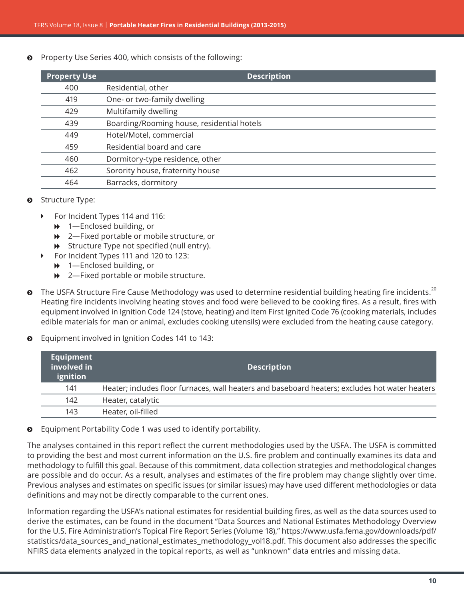Property Use Series 400, which consists of the following:

| <b>Property Use</b> | <b>Description</b>                         |
|---------------------|--------------------------------------------|
| 400                 | Residential, other                         |
| 419                 | One- or two-family dwelling                |
| 429                 | Multifamily dwelling                       |
| 439                 | Boarding/Rooming house, residential hotels |
| 449                 | Hotel/Motel, commercial                    |
| 459                 | Residential board and care                 |
| 460                 | Dormitory-type residence, other            |
| 462                 | Sorority house, fraternity house           |
| 464                 | Barracks, dormitory                        |

#### $\odot$  Structure Type:

- ▶ For Incident Types 114 and 116:
	- $\rightarrow$  1-Enclosed building, or
	- **→** 2—Fixed portable or mobile structure, or
	- $\rightarrow$  Structure Type not specified (null entry).
- ▶ For Incident Types 111 and 120 to 123:
	- $\rightarrow$  1—Enclosed building, or
	- **→** 2—Fixed portable or mobile structure.
- $\bullet$  The USFA Structure Fire Cause Methodology was used to determine residential building heating fire incidents.<sup>20</sup> Heating fire incidents involving heating stoves and food were believed to be cooking fires. As a result, fires with equipment involved in Ignition Code 124 (stove, heating) and Item First Ignited Code 76 (cooking materials, includes edible materials for man or animal, excludes cooking utensils) were excluded from the heating cause category.
- $\odot$  Equipment involved in Ignition Codes 141 to 143:

| Equipment<br>involved in<br>ignition | <b>Description</b>                                                                              |
|--------------------------------------|-------------------------------------------------------------------------------------------------|
| 141                                  | Heater; includes floor furnaces, wall heaters and baseboard heaters; excludes hot water heaters |
| 142                                  | Heater, catalytic                                                                               |
| 143                                  | Heater, oil-filled                                                                              |

 $\odot$  Equipment Portability Code 1 was used to identify portability.

The analyses contained in this report reflect the current methodologies used by the USFA. The USFA is committed to providing the best and most current information on the U.S. fire problem and continually examines its data and methodology to fulfill this goal. Because of this commitment, data collection strategies and methodological changes are possible and do occur. As a result, analyses and estimates of the fire problem may change slightly over time. Previous analyses and estimates on specific issues (or similar issues) may have used different methodologies or data definitions and may not be directly comparable to the current ones.

Information regarding the USFA's national estimates for residential building fires, as well as the data sources used to derive the estimates, can be found in the document "Data Sources and National Estimates Methodology Overview for the U.S. Fire Administration's Topical Fire Report Series (Volume 18)," [https://www.usfa.fema.gov/downloads/pdf/](https://www.usfa.fema.gov/downloads/pdf/statistics/data_sources_and_national_estimates_methodology_vol18.pdf) [statistics/data\\_sources\\_](https://www.usfa.fema.gov/downloads/pdf/statistics/data_sources_and_national_estimates_methodology_vol18.pdf)and\_national\_estimates\_methodology\_vol18.pdf. This document also addresses the specific NFIRS data elements analyzed in the topical reports, as well as "unknown" data entries and missing data.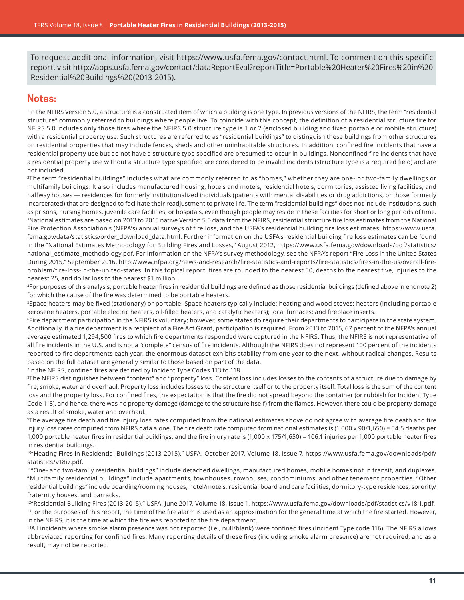To request additional information, visit [https://www.usfa.fema.gov/contact.html.](https://www.usfa.fema.gov/contact.html) To comment on this specific report, visit [http://apps.usfa.fema.gov/contact/dataReportEval?reportTitle=Portable%20Heater%20Fires%20in%20](http://apps.usfa.fema.gov/contact/dataReportEval?reportTitle=Portable%20Heater%20Fires%20in%20Residential%20Buildings%20(2013-2015)) [Residential%20Buildings%20\(2013-2015\)](http://apps.usfa.fema.gov/contact/dataReportEval?reportTitle=Portable%20Heater%20Fires%20in%20Residential%20Buildings%20(2013-2015)).

#### **Notes:**

1In the NFIRS Version 5.0, a structure is a constructed item of which a building is one type. In previous versions of the NFIRS, the term "residential structure" commonly referred to buildings where people live. To coincide with this concept, the definition of a residential structure fire for NFIRS 5.0 includes only those fires where the NFIRS 5.0 structure type is 1 or 2 (enclosed building and fixed portable or mobile structure) with a residential property use. Such structures are referred to as "residential buildings" to distinguish these buildings from other structures on residential properties that may include fences, sheds and other uninhabitable structures. In addition, confined fire incidents that have a residential property use but do not have a structure type specified are presumed to occur in buildings. Nonconfined fire incidents that have a residential property use without a structure type specified are considered to be invalid incidents (structure type is a required field) and are not included.

2The term "residential buildings" includes what are commonly referred to as "homes," whether they are one- or two-family dwellings or multifamily buildings. It also includes manufactured housing, hotels and motels, residential hotels, dormitories, assisted living facilities, and halfway houses — residences for formerly institutionalized individuals (patients with mental disabilities or drug addictions, or those formerly incarcerated) that are designed to facilitate their readjustment to private life. The term "residential buildings" does not include institutions, such as prisons, nursing homes, juvenile care facilities, or hospitals, even though people may reside in these facilities for short or long periods of time. 3National estimates are based on 2013 to 2015 native Version 5.0 data from the NFIRS, residential structure fire loss estimates from the National Fire Protection Association's (NFPA's) annual surveys of fire loss, and the USFA's residential building fire loss estimates: [https://www.usfa.](https://www.usfa.fema.gov/data/statistics/order_download_data.html) [fema.gov/data/statistics/order\\_download\\_data.html](https://www.usfa.fema.gov/data/statistics/order_download_data.html). Further information on the USFA's residential building fire loss estimates can be found in the "National Estimates Methodology for Building Fires and Losses," August 2012, [https://www.usfa.fema.gov/downloads/pdf/statistics/](https://www.usfa.fema.gov/downloads/pdf/statistics/national_estimate_methodology.pdf) [national\\_estimate\\_methodology.pdf](https://www.usfa.fema.gov/downloads/pdf/statistics/national_estimate_methodology.pdf). For information on the NFPA's survey methodology, see the NFPA's report "Fire Loss in the United States During 2015," September 2016, [http://www.nfpa.org/news-and-research/fire-statistics-and-reports/fire-statistics/fires-in-the-us/overall-fire](http://www.nfpa.org/news-and-research/fire-statistics-and-reports/fire-statistics/fires-in-the-us/overall-fire-problem/fire-loss-in-the-united-states)[problem/fire-loss-in-the-united-states](http://www.nfpa.org/news-and-research/fire-statistics-and-reports/fire-statistics/fires-in-the-us/overall-fire-problem/fire-loss-in-the-united-states). In this topical report, fires are rounded to the nearest 50, deaths to the nearest five, injuries to the nearest 25, and dollar loss to the nearest \$1 million.

4For purposes of this analysis, portable heater fires in residential buildings are defined as those residential buildings (defined above in endnote 2) for which the cause of the fire was determined to be portable heaters.

5Space heaters may be fixed (stationary) or portable. Space heaters typically include: heating and wood stoves; heaters (including portable kerosene heaters, portable electric heaters, oil-filled heaters, and catalytic heaters); local furnaces; and fireplace inserts.

6Fire department participation in the NFIRS is voluntary; however, some states do require their departments to participate in the state system. Additionally, if a fire department is a recipient of a Fire Act Grant, participation is required. From 2013 to 2015, 67 percent of the NFPA's annual average estimated 1,294,500 fires to which fire departments responded were captured in the NFIRS. Thus, the NFIRS is not representative of all fire incidents in the U.S. and is not a "complete" census of fire incidents. Although the NFIRS does not represent 100 percent of the incidents reported to fire departments each year, the enormous dataset exhibits stability from one year to the next, without radical changes. Results based on the full dataset are generally similar to those based on part of the data.

7In the NFIRS, confined fires are defined by Incident Type Codes 113 to 118.

<sup>8</sup>The NFIRS distinguishes between "content" and "property" loss. Content loss includes losses to the contents of a structure due to damage by fire, smoke, water and overhaul. Property loss includes losses to the structure itself or to the property itself. Total loss is the sum of the content loss and the property loss. For confined fires, the expectation is that the fire did not spread beyond the container (or rubbish for Incident Type Code 118), and hence, there was no property damage (damage to the structure itself) from the flames. However, there could be property damage as a result of smoke, water and overhaul.

9The average fire death and fire injury loss rates computed from the national estimates above do not agree with average fire death and fire injury loss rates computed from NFIRS data alone. The fire death rate computed from national estimates is (1,000 x 90/1,650) = 54.5 deaths per 1,000 portable heater fires in residential buildings, and the fire injury rate is (1,000 x 175/1,650) = 106.1 injuries per 1,000 portable heater fires in residential buildings.

10"Heating Fires in Residential Buildings (2013-2015)," USFA, October 2017, Volume 18, Issue 7, [https://www.usfa.fema.gov/downloads/pdf/](https://www.usfa.fema.gov/downloads/pdf/statistics/v18i7.pdf) [statistics/v18i7.pdf](https://www.usfa.fema.gov/downloads/pdf/statistics/v18i7.pdf).

11"One- and two-family residential buildings" include detached dwellings, manufactured homes, mobile homes not in transit, and duplexes. "Multifamily residential buildings" include apartments, townhouses, rowhouses, condominiums, and other tenement properties. "Other residential buildings" include boarding/rooming houses, hotel/motels, residential board and care facilities, dormitory-type residences, sorority/ fraternity houses, and barracks.

<sup>12"</sup>Residential Building Fires (2013-2015)," USFA, June 2017, Volume 18, Issue 1,<https://www.usfa.fema.gov/downloads/pdf/statistics/v18i1.pdf>. <sup>13</sup>For the purposes of this report, the time of the fire alarm is used as an approximation for the general time at which the fire started. However, in the NFIRS, it is the time at which the fire was reported to the fire department.

14All incidents where smoke alarm presence was not reported (i.e., null/blank) were confined fires (Incident Type code 116). The NFIRS allows abbreviated reporting for confined fires. Many reporting details of these fires (including smoke alarm presence) are not required, and as a result, may not be reported.